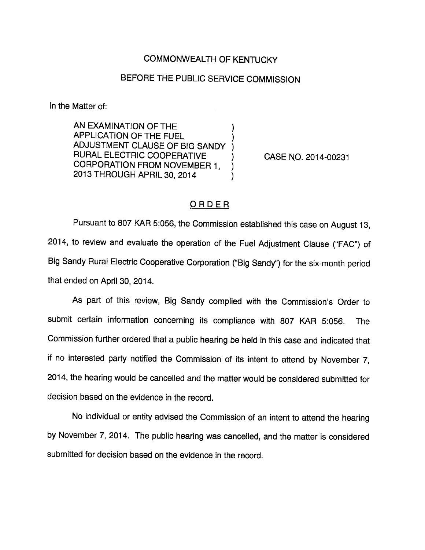## COMMONWEALTH OF KENTUCKY

## BEFORE THE PUBLIC SERVICE COMMISSION

In the Matter of:

AN EXAMINATION OF THE APPLICATION OF THE FUEL ADJUSTMENT CLAUSE OF BIG SANDY RURAL ELECTRIC COOPERATIVE CORPORATION FROM NOVEMBER 1, 2013 THROUGH APRIL 30, 2014

CASE NO. 2014-00231

## ORDER

Pursuant to 807 KAR 5:056, the Commission established this case on August 13, 2014, to review and evaluate the operation of the Fuel Adjustment Clause ("FAC") of Big Sandy Rural Electric Cooperative Corporation ("Big Sandy") for the six-month period that ended on April 30, 2014.

As part of this review. Big Sandy complied with the Commission's Order to submit certain information concerning its compliance with 807 KAR 5:056. The Commission further ordered that a public hearing be held in this case and indicated that if no interested party notified the Commission of its intent to attend by November 7, 2014, the hearing would be cancelled and the matter would be considered submitted for decision based on the evidence in the record.

No individual or entity advised the Commission of an intent to attend the hearing by November 7, 2014. The public hearing was cancelled, and the matter is considered submitted for decision based on the evidence in the record.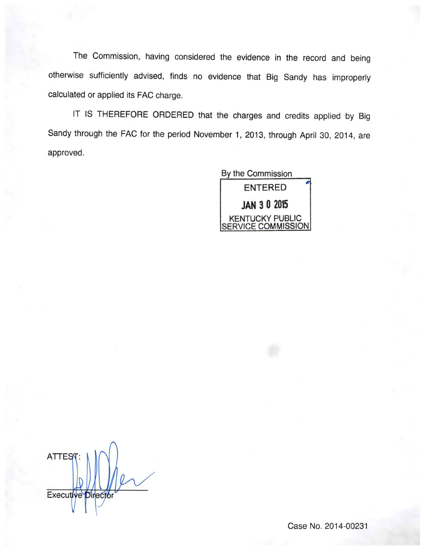The Commission, having considered the evidence in the record and being otherwise sufficiently advised, finds no evidence that Big Sandy has improperly calculated or applied its FAG charge.

IT IS THEREFORE ORDERED that the charges and credits applied by Big Sandy through the FAG for the period November 1, 2013, through April 30, 2014, are approved.



**ATTES** Executive Director

Case No. 2014-00231